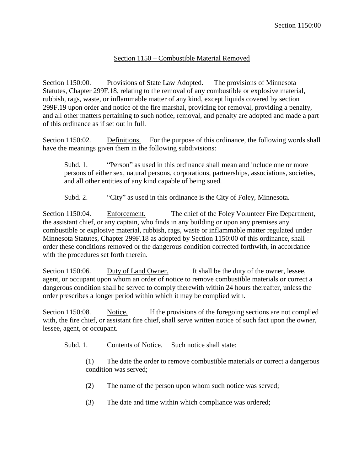## Section 1150 – Combustible Material Removed

Section 1150:00. Provisions of State Law Adopted. The provisions of Minnesota Statutes, Chapter 299F.18, relating to the removal of any combustible or explosive material, rubbish, rags, waste, or inflammable matter of any kind, except liquids covered by section 299F.19 upon order and notice of the fire marshal, providing for removal, providing a penalty, and all other matters pertaining to such notice, removal, and penalty are adopted and made a part of this ordinance as if set out in full.

Section 1150:02. Definitions. For the purpose of this ordinance, the following words shall have the meanings given them in the following subdivisions:

Subd. 1. "Person" as used in this ordinance shall mean and include one or more persons of either sex, natural persons, corporations, partnerships, associations, societies, and all other entities of any kind capable of being sued.

Subd. 2. "City" as used in this ordinance is the City of Foley, Minnesota.

Section 1150:04. Enforcement. The chief of the Foley Volunteer Fire Department, the assistant chief, or any captain, who finds in any building or upon any premises any combustible or explosive material, rubbish, rags, waste or inflammable matter regulated under Minnesota Statutes, Chapter 299F.18 as adopted by Section 1150:00 of this ordinance, shall order these conditions removed or the dangerous condition corrected forthwith, in accordance with the procedures set forth therein.

Section 1150:06. Duty of Land Owner. It shall be the duty of the owner, lessee, agent, or occupant upon whom an order of notice to remove combustible materials or correct a dangerous condition shall be served to comply therewith within 24 hours thereafter, unless the order prescribes a longer period within which it may be complied with.

Section 1150:08. Notice. If the provisions of the foregoing sections are not complied with, the fire chief, or assistant fire chief, shall serve written notice of such fact upon the owner, lessee, agent, or occupant.

Subd. 1. Contents of Notice. Such notice shall state:

(1) The date the order to remove combustible materials or correct a dangerous condition was served;

- (2) The name of the person upon whom such notice was served;
- (3) The date and time within which compliance was ordered;